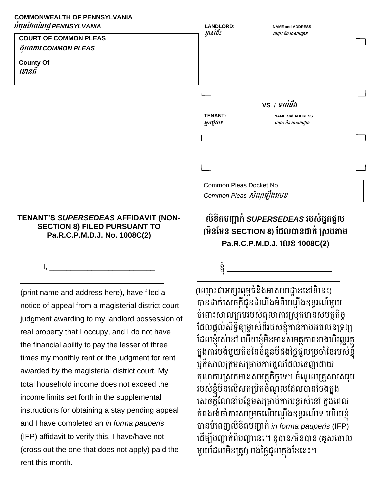## **COMMONWEALTH OF PENNSYLVANIA ខំមុនវែលននរដ្ឋ***PENNSYLVANIA*



## **TENANT'S** *SUPERSEDEAS* **AFFIDAVIT (NON-SECTION 8) FILED PURSUANT TO Pa.R.C.P.M.D.J. No. 1008C(2)**

I, \_\_\_\_\_\_\_\_\_\_\_\_\_\_\_\_\_\_\_\_\_\_\_\_\_

\_\_\_\_\_\_\_\_\_\_\_\_\_\_\_\_\_\_\_\_\_\_\_\_\_\_\_\_\_\_\_\_\_\_ (print name and address here), have filed a notice of appeal from a magisterial district court judgment awarding to my landlord possession of real property that I occupy, and I do not have the financial ability to pay the lesser of three times my monthly rent or the judgment for rent awarded by the magisterial district court. My total household income does not exceed the income limits set forth in the supplemental instructions for obtaining a stay pending appeal and I have completed an *in forma pauperis*  (IFP) affidavit to verify this. I have/have not (cross out the one that does not apply) paid the rent this month.

## **លិខិតបញ្ជាក់***SUPERSEDEAS* **របស់អ្នកជួល (មិនវមន SECTION 8) វដ្លបានដ្ាក់ ស្សបតាម Pa.R.C.P.M.D.J. ខលខ 1008C(2)**

\_\_\_\_\_\_\_\_\_\_\_\_\_\_\_\_\_\_\_\_\_\_\_\_\_\_\_\_\_\_\_\_\_\_

ខ្ញំ \_\_\_\_\_\_\_\_\_\_\_\_\_\_\_\_\_\_\_\_\_\_\_\_\_

(ឈ្មោះជាអក្សរពុម្ពធំនិងអាសយដ្ឋាននៅទីនេះ) បានដាក់សេចក្ដីជូនដំណឹងអំពីបណ្ដឹងឧទ្ធរណ៍មួយ ចំពោះសាលក្រុមរបស់តុលាការស្រុកមានសមត្ថកិច្ ដែលផ្ដល់សិទ្ធិឲ្យម្ចាស់ដីរបស់ខ្ញុំកាន់កាប់អចលនទ្រព្យ ដែលខ្ញុំរស់នៅ ហើយខ្ញុំមិនមានសមត្ថភាពខាងហិរញ្ញវត្ថុ ក្នុងការបង់មួយតិចនៃចំនួនបីដងថ្លៃជួលប្រចាំខែរបស់ខ្ញុំ ឬក៏សាលក្រមសម្រាប់ការជួលដែលចេញដោយ តុលាការស្រុកមានសមត្ថកិច្ចទេ។ ចំណូលគ្រួសារសរុប របស់ខ្ញុំមិនលើសកម្រិតចំណូលដែលបានចែងក្នុង សេចក្ដីណែនាំបន្ថែមសម្រាប់ការបន្តរស់នៅ ក្នុងពេល កំពុងរង់ចាំការសម្រេចលើបណ្តឹងឧទ្ធរណ៍ទេ ហើយខ្ញុំ បមនបំរពញេិខិតបញ្ជមក្់ *in forma pauperis* (IFP) ដើម្បីបញ្ជាក់ពីបញ្ហានេះ។ ខ្ញុំបាន/មិនបាន (គូសចោល មួយដែលមិនត្រូវ) បង់ថ្លៃជួល់ក្នុងខែនេះ។